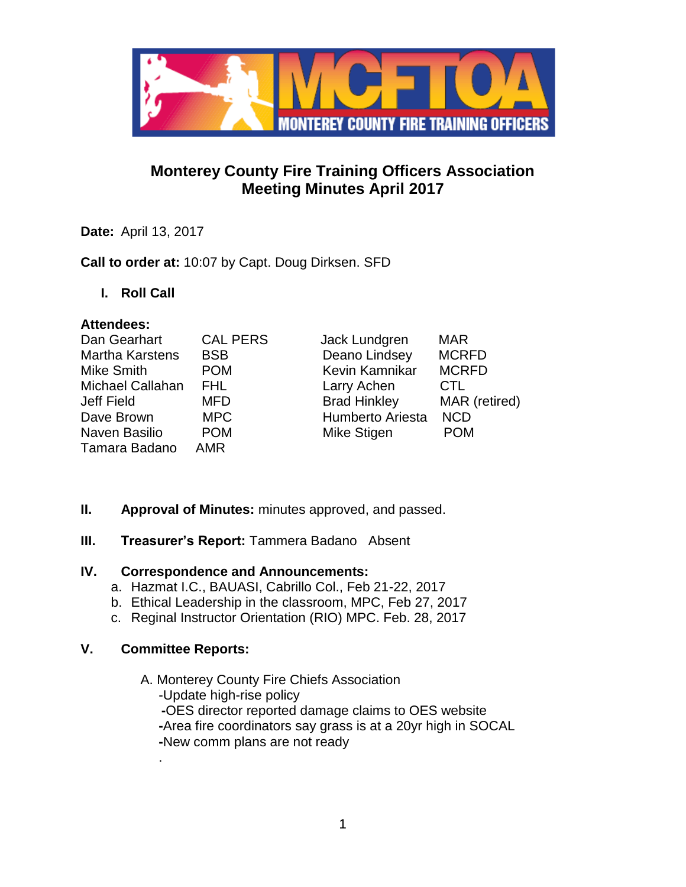

# **Monterey County Fire Training Officers Association Meeting Minutes April 2017**

**Date:** April 13, 2017

**Call to order at:** 10:07 by Capt. Doug Dirksen. SFD

**I. Roll Call**

### **Attendees:**

| Dan Gearhart           | <b>CAL PERS</b> | Jack Lundgren           | <b>MAR</b>    |
|------------------------|-----------------|-------------------------|---------------|
| <b>Martha Karstens</b> | <b>BSB</b>      | Deano Lindsey           | <b>MCRFD</b>  |
| Mike Smith             | <b>POM</b>      | Kevin Kamnikar          | <b>MCRFD</b>  |
| Michael Callahan       | FHL.            | Larry Achen             | <b>CTL</b>    |
| Jeff Field             | <b>MFD</b>      | <b>Brad Hinkley</b>     | MAR (retired) |
| Dave Brown             | <b>MPC</b>      | <b>Humberto Ariesta</b> | <b>NCD</b>    |
| Naven Basilio          | <b>POM</b>      | Mike Stigen             | <b>POM</b>    |
| Tamara Badano          | <b>AMR</b>      |                         |               |

- **II. Approval of Minutes:** minutes approved, and passed.
- **III.** Treasurer's Report: Tammera Badano Absent

## **IV. Correspondence and Announcements:**

- a. Hazmat I.C., BAUASI, Cabrillo Col., Feb 21-22, 2017
- b. Ethical Leadership in the classroom, MPC, Feb 27, 2017
- c. Reginal Instructor Orientation (RIO) MPC. Feb. 28, 2017

## **V. Committee Reports:**

.

A. Monterey County Fire Chiefs Association -Update high-rise policy **-**OES director reported damage claims to OES website  **-**Area fire coordinators say grass is at a 20yr high in SOCAL  **-**New comm plans are not ready